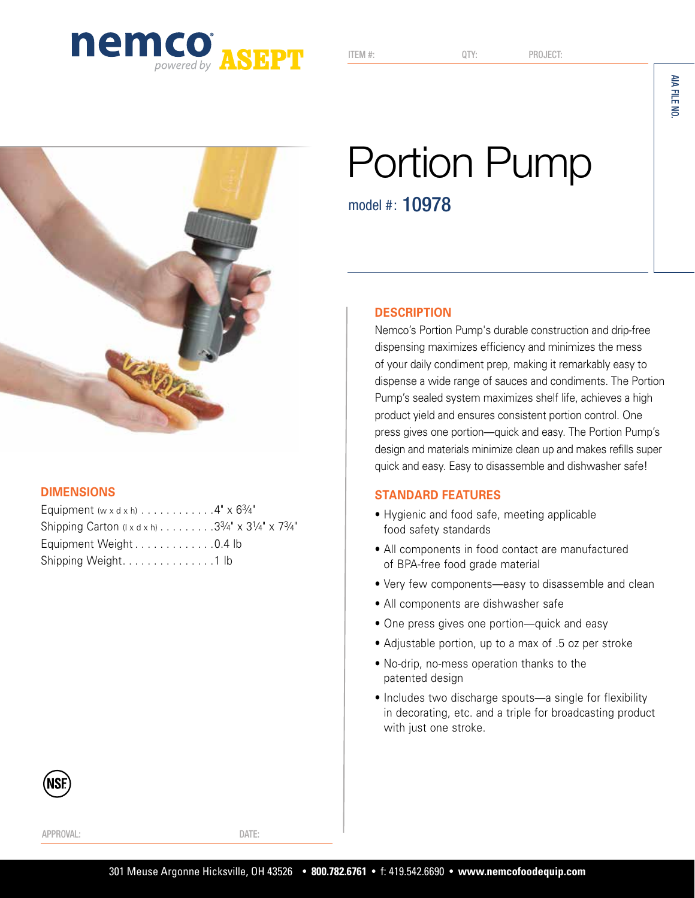

ITEM #: QTY: PROJECT:



### **DIMENSIONS**

| Equipment (w x d x h) $\ldots \ldots \ldots \ldots 4$ " x $6\frac{3}{4}$ " |  |
|----------------------------------------------------------------------------|--|
| Shipping Carton ( $x dx$ h) 33/4" $\times$ 31/4" $\times$ 73/4"            |  |
| Equipment Weight0.4 lb                                                     |  |
| Shipping Weight. 1 lb                                                      |  |

# Portion Pump

model #: 10978

### **DESCRIPTION**

Nemco's Portion Pump's durable construction and drip-free dispensing maximizes efficiency and minimizes the mess of your daily condiment prep, making it remarkably easy to dispense a wide range of sauces and condiments. The Portion Pump's sealed system maximizes shelf life, achieves a high product yield and ensures consistent portion control. One press gives one portion—quick and easy. The Portion Pump's design and materials minimize clean up and makes refills super quick and easy. Easy to disassemble and dishwasher safe!

### **STANDARD FEATURES**

- Hygienic and food safe, meeting applicable food safety standards
- All components in food contact are manufactured of BPA-free food grade material
- Very few components—easy to disassemble and clean
- All components are dishwasher safe
- One press gives one portion—quick and easy
- Adjustable portion, up to a max of .5 oz per stroke
- No-drip, no-mess operation thanks to the patented design
- Includes two discharge spouts—a single for flexibility in decorating, etc. and a triple for broadcasting product with just one stroke.

APPROVAL: DATE: